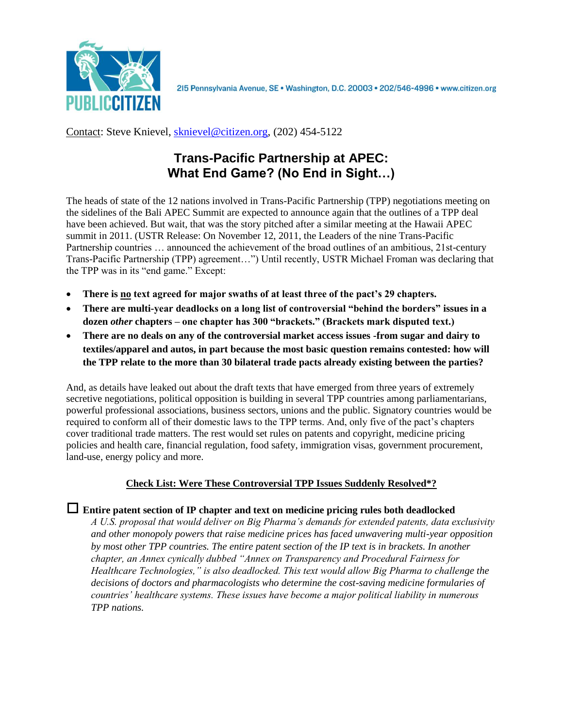

215 Pennsylvania Avenue, SE · Washington, D.C. 20003 · 202/546-4996 · www.citizen.org

# Contact: Steve Knievel, [sknievel@citizen.org,](mailto:sknievel@citizen.org) (202) 454-5122

# **Trans-Pacific Partnership at APEC: What End Game? (No End in Sight…)**

The heads of state of the 12 nations involved in Trans-Pacific Partnership (TPP) negotiations meeting on the sidelines of the Bali APEC Summit are expected to announce again that the outlines of a TPP deal have been achieved. But wait, that was the story pitched after a similar meeting at the Hawaii APEC summit in 2011. (USTR Release: On November 12, 2011, the Leaders of the nine Trans-Pacific Partnership countries … announced the achievement of the broad outlines of an ambitious, 21st-century Trans-Pacific Partnership (TPP) agreement…") Until recently, USTR Michael Froman was declaring that the TPP was in its "end game." Except:

- **There is no text agreed for major swaths of at least three of the pact's 29 chapters.**
- **There are multi-year deadlocks on a long list of controversial "behind the borders" issues in a dozen** *other* **chapters – one chapter has 300 "brackets." (Brackets mark disputed text.)**
- **There are no deals on any of the controversial market access issues -from sugar and dairy to textiles/apparel and autos, in part because the most basic question remains contested: how will the TPP relate to the more than 30 bilateral trade pacts already existing between the parties?**

And, as details have leaked out about the draft texts that have emerged from three years of extremely secretive negotiations, political opposition is building in several TPP countries among parliamentarians, powerful professional associations, business sectors, unions and the public. Signatory countries would be required to conform all of their domestic laws to the TPP terms. And, only five of the pact's chapters cover traditional trade matters. The rest would set rules on patents and copyright, medicine pricing policies and health care, financial regulation, food safety, immigration visas, government procurement, land-use, energy policy and more.

# **Check List: Were These Controversial TPP Issues Suddenly Resolved\*?**

 **Entire patent section of IP chapter and text on medicine pricing rules both deadlocked** *A U.S. proposal that would deliver on Big Pharma's demands for extended patents, data exclusivity and other monopoly powers that raise medicine prices has faced unwavering multi-year opposition by most other TPP countries. The entire patent section of the IP text is in brackets. In another chapter, an Annex cynically dubbed "Annex on Transparency and Procedural Fairness for Healthcare Technologies," is also deadlocked. This text would allow Big Pharma to challenge the decisions of doctors and pharmacologists who determine the cost-saving medicine formularies of countries' healthcare systems. These issues have become a major political liability in numerous TPP nations.*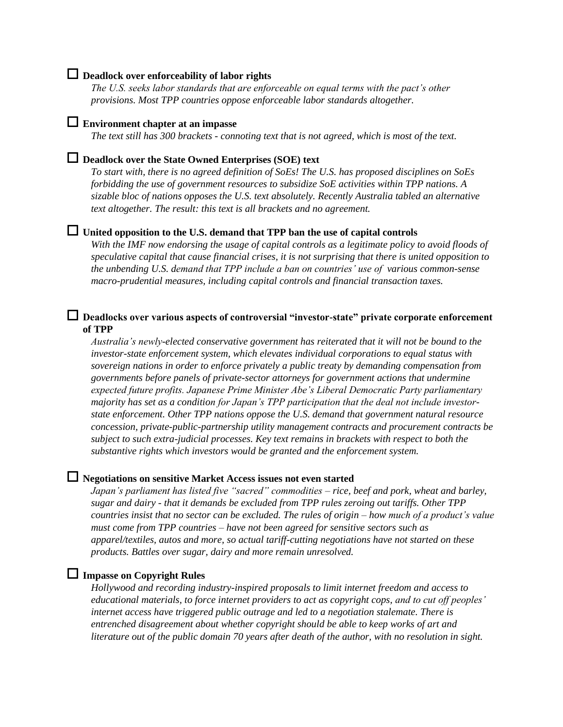## **Deadlock over enforceability of labor rights**

*The U.S. seeks labor standards that are enforceable on equal terms with the pact's other provisions. Most TPP countries oppose enforceable labor standards altogether.*

# **Environment chapter at an impasse**

*The text still has 300 brackets - connoting text that is not agreed, which is most of the text.*

#### **Deadlock over the State Owned Enterprises (SOE) text**

*To start with, there is no agreed definition of SoEs! The U.S. has proposed disciplines on SoEs forbidding the use of government resources to subsidize SoE activities within TPP nations. A sizable bloc of nations opposes the U.S. text absolutely. Recently Australia tabled an alternative text altogether. The result: this text is all brackets and no agreement.*

# **United opposition to the U.S. demand that TPP ban the use of capital controls**

*With the IMF now endorsing the usage of capital controls as a legitimate policy to avoid floods of speculative capital that cause financial crises, it is not surprising that there is united opposition to the unbending U.S. demand that TPP include a ban on countries' use of various common-sense macro-prudential measures, including capital controls and financial transaction taxes.* 

### **Deadlocks over various aspects of controversial "investor-state" private corporate enforcement of TPP**

*Australia's newly-elected conservative government has reiterated that it will not be bound to the investor-state enforcement system, which elevates individual corporations to equal status with sovereign nations in order to enforce privately a public treaty by demanding compensation from governments before panels of private-sector attorneys for government actions that undermine expected future profits. Japanese Prime Minister Abe's Liberal Democratic Party parliamentary majority has set as a condition for Japan's TPP participation that the deal not include investorstate enforcement. Other TPP nations oppose the U.S. demand that government natural resource concession, private-public-partnership utility management contracts and procurement contracts be subject to such extra-judicial processes. Key text remains in brackets with respect to both the substantive rights which investors would be granted and the enforcement system.*

## **Negotiations on sensitive Market Access issues not even started**

*Japan's parliament has listed five "sacred" commodities – rice, beef and pork, wheat and barley, sugar and dairy - that it demands be excluded from TPP rules zeroing out tariffs. Other TPP countries insist that no sector can be excluded. The rules of origin – how much of a product's value must come from TPP countries – have not been agreed for sensitive sectors such as apparel/textiles, autos and more, so actual tariff-cutting negotiations have not started on these products. Battles over sugar, dairy and more remain unresolved.*

# **Impasse on Copyright Rules**

*Hollywood and recording industry-inspired proposals to limit internet freedom and access to educational materials, to force internet providers to act as copyright cops, and to cut off peoples' internet access have triggered public outrage and led to a negotiation stalemate. There is entrenched disagreement about whether copyright should be able to keep works of art and literature out of the public domain 70 years after death of the author, with no resolution in sight.*